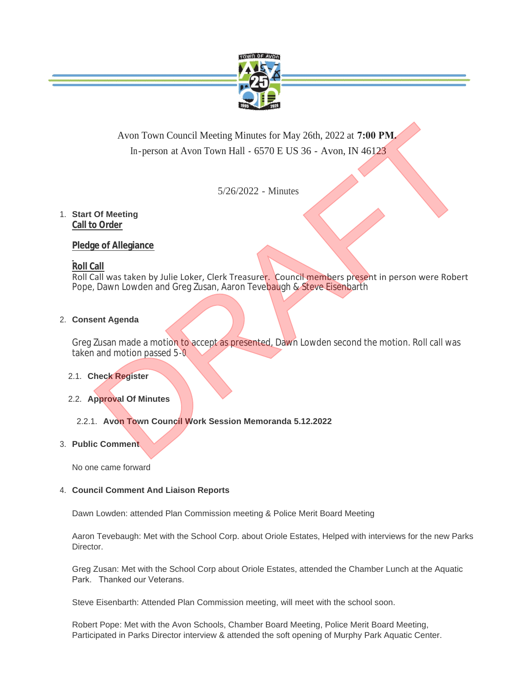

# Avon Town Council Meeting Minutes for May 26th, 2022 at **7:00 PM.**  In-person at Avon Town Hall **-** 6570 E US 36 - Avon, IN 46123

5/26/2022 - Minutes

## **Start Of Meeting** 1. **Call to Order**

# **Pledge of Allegiance**

# **Roll Call**

Roll Call was taken by Julie Loker, Clerk Treasurer. Council members present in person were Robert Pope, Dawn Lowden and Greg Zusan, Aaron Tevebaugh & Steve Eisenbarth Avon Town Council Meeting Minutes for May 26th, 2022 at 7:00 PM<br>
In-person at Avon Town Hall - 6570 E US 36 - Avon, IN 46123<br>
5/26/2022 - Minutes<br>
Of Meeting<br>
<u>o Order</u><br>
1. All was taken by Julie Loker, Clerk Treasurer, Co

# **Consent Agenda** 2.

Greg Zusan made a motion to accept as presented, Dawn Lowden second the motion. Roll call was taken and motion passed 5-0

#### **Check Register** 2.1.

# **Approval Of Minutes** 2.2.

# **Avon Town Council Work Session Memoranda 5.12.2022** 2.2.1.

#### **Public Comment** 3.

No one came forward

#### **Council Comment And Liaison Reports** 4.

Dawn Lowden: attended Plan Commission meeting & Police Merit Board Meeting

Aaron Tevebaugh: Met with the School Corp. about Oriole Estates, Helped with interviews for the new Parks Director.

Greg Zusan: Met with the School Corp about Oriole Estates, attended the Chamber Lunch at the Aquatic Park. Thanked our Veterans.

Steve Eisenbarth: Attended Plan Commission meeting, will meet with the school soon.

Robert Pope: Met with the Avon Schools, Chamber Board Meeting, Police Merit Board Meeting, Participated in Parks Director interview & attended the soft opening of Murphy Park Aquatic Center.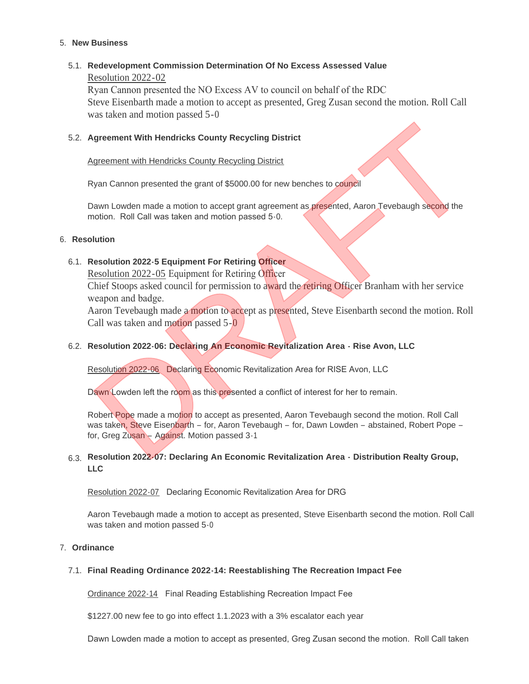#### **New Business** 5.

#### **Redevelopment Commission Determination Of No Excess Assessed Value** 5.1. Resolution 2022-02

Ryan Cannon presented the NO Excess AV to council on behalf of the RDC Steve Eisenbarth made a motion to accept as presented, Greg Zusan second the motion. Roll Call was taken and motion passed 5-0

#### **Agreement With Hendricks County Recycling District** 5.2.

#### Agreement with Hendricks County Recycling District

Ryan Cannon presented the grant of \$5000.00 for new benches to council

Dawn Lowden made a motion to accept grant agreement as presented, Aaron Tevebaugh second the motion. Roll Call was taken and motion passed 5-0.

#### **Resolution** 6.

## **Resolution 2022-5 Equipment For Retiring Officer** 6.1.

Resolution 2022-05 Equipment for Retiring Officer

Chief Stoops asked council for permission to award the retiring Officer Branham with her service weapon and badge.

Aaron Tevebaugh made a motion to accept as presented, Steve Eisenbarth second the motion. Roll Call was taken and motion passed 5-0

#### **Resolution 2022-06: Declaring An Economic Revitalization Area - Rise Avon, LLC** 6.2.

Resolution 2022-06 Declaring Economic Revitalization Area for RISE Avon, LLC

Dawn Lowden left the room as this presented a conflict of interest for her to remain.

Robert Pope made a motion to accept as presented, Aaron Tevebaugh second the motion. Roll Call was taken, Steve Eisenbarth – for, Aaron Tevebaugh – for, Dawn Lowden – abstained, Robert Pope – for, Greg Zusan – Against. Motion passed 3-1 Ngreement With Hendricks County Recycling District<br>
Syan Cannon presented the grant of \$5000.00 for new benches to council<br>
Navn Lowdon made a motion to accept grant agreement as presented, Aaron Tevebaugh second the<br>
noti

#### **Resolution 2022-07: Declaring An Economic Revitalization Area - Distribution Realty Group,**  6.3. **LLC**

Resolution 2022-07 Declaring Economic Revitalization Area for DRG

Aaron Tevebaugh made a motion to accept as presented, Steve Eisenbarth second the motion. Roll Call was taken and motion passed 5-0

#### **Ordinance** 7.

# **Final Reading Ordinance 2022-14: Reestablishing The Recreation Impact Fee** 7.1.

Ordinance 2022-14 Final Reading Establishing Recreation Impact Fee

\$1227.00 new fee to go into effect 1.1.2023 with a 3% escalator each year

Dawn Lowden made a motion to accept as presented, Greg Zusan second the motion. Roll Call taken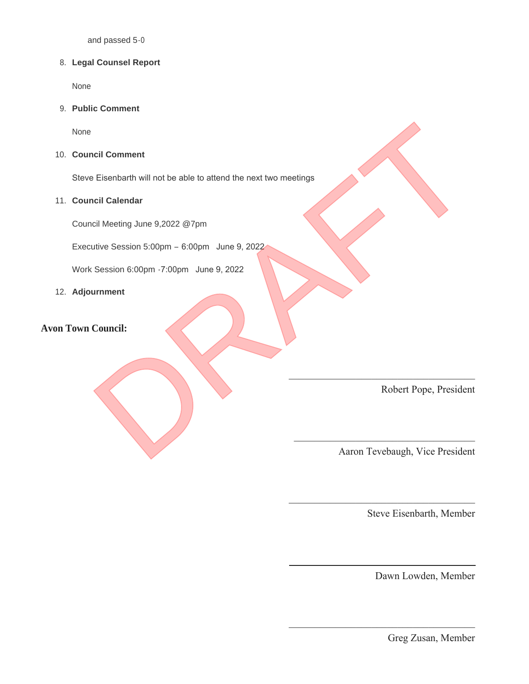and passed 5-0

#### **Legal Counsel Report** 8.

None

**Public Comment** 9.

None

**Council Comment** 10.

Steve Eisenbarth will not be able to attend the next two meetings ncil Comment<br>
Elisenbarth will not be able to attend the next two meetings<br>
cil Calendar<br>
cil Meeting June 9,2022 @7pm<br>
utive Session 6:00pm - 7:00pm - June 9, 2022<br>
Session 6:00pm - 7:00pm - June 9, 2022<br>
Urument<br>
Council

#### **Council Calendar** 11.

Council Meeting June 9,2022 @7pm

Executive Session 5:00pm – 6:00pm June 9, 2022

Work Session 6:00pm -7:00pm June 9, 2022

**Adjournment** 12.

# **Avon Town Council:**

Robert Pope, President

Aaron Tevebaugh, Vice President

 $\mathcal{L}=\mathcal{L}=\mathcal{L}=\mathcal{L}=\mathcal{L}=\mathcal{L}=\mathcal{L}=\mathcal{L}=\mathcal{L}=\mathcal{L}=\mathcal{L}=\mathcal{L}=\mathcal{L}=\mathcal{L}=\mathcal{L}=\mathcal{L}=\mathcal{L}=\mathcal{L}=\mathcal{L}=\mathcal{L}=\mathcal{L}=\mathcal{L}=\mathcal{L}=\mathcal{L}=\mathcal{L}=\mathcal{L}=\mathcal{L}=\mathcal{L}=\mathcal{L}=\mathcal{L}=\mathcal{L}=\mathcal{L}=\mathcal{L}=\mathcal{L}=\mathcal{L}=\mathcal{L}=\mathcal{$ 

 $\mathcal{L}=\mathcal{L}=\mathcal{L}=\mathcal{L}=\mathcal{L}=\mathcal{L}=\mathcal{L}=\mathcal{L}=\mathcal{L}=\mathcal{L}=\mathcal{L}=\mathcal{L}=\mathcal{L}=\mathcal{L}=\mathcal{L}=\mathcal{L}=\mathcal{L}=\mathcal{L}=\mathcal{L}=\mathcal{L}=\mathcal{L}=\mathcal{L}=\mathcal{L}=\mathcal{L}=\mathcal{L}=\mathcal{L}=\mathcal{L}=\mathcal{L}=\mathcal{L}=\mathcal{L}=\mathcal{L}=\mathcal{L}=\mathcal{L}=\mathcal{L}=\mathcal{L}=\mathcal{L}=\mathcal{$ 

 $\mathcal{L}_\mathcal{L}$  , which is a set of the set of the set of the set of the set of the set of the set of the set of the set of the set of the set of the set of the set of the set of the set of the set of the set of the set of

 $\mathcal{L}_\mathcal{L}$  , which is a set of the set of the set of the set of the set of the set of the set of the set of the set of the set of the set of the set of the set of the set of the set of the set of the set of the set of

Steve Eisenbarth, Member

Dawn Lowden, Member